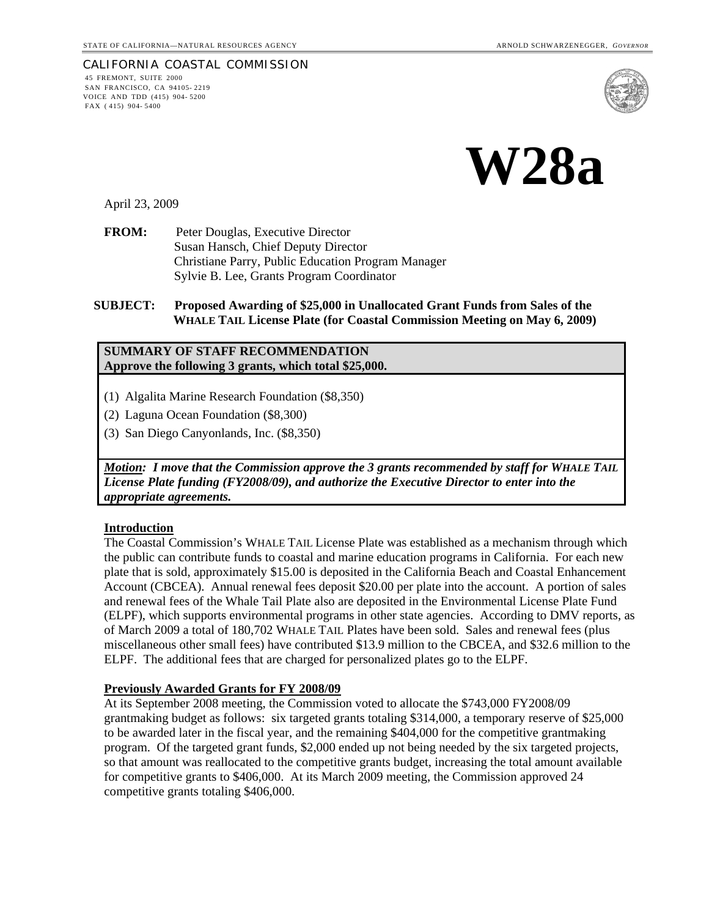#### CALIFORNIA COASTAL COMMISSION 45 FREMONT, SUITE 2000 SAN FRANCISCO, CA 94105- 2219 VOICE AND TDD (415) 904- 5200 FAX ( 415) 904- 5400





April 23, 2009

**FROM:** Peter Douglas, Executive Director Susan Hansch, Chief Deputy Director Christiane Parry, Public Education Program Manager Sylvie B. Lee, Grants Program Coordinator

**SUBJECT: Proposed Awarding of \$25,000 in Unallocated Grant Funds from Sales of the WHALE TAIL License Plate (for Coastal Commission Meeting on May 6, 2009)** 

## **SUMMARY OF STAFF RECOMMENDATION Approve the following 3 grants, which total \$25,000.**

- (1) Algalita Marine Research Foundation (\$8,350)
- (2) Laguna Ocean Foundation (\$8,300)
- (3) San Diego Canyonlands, Inc. (\$8,350)

*Motion: I move that the Commission approve the 3 grants recommended by staff for WHALE TAIL License Plate funding (FY2008/09), and authorize the Executive Director to enter into the appropriate agreements.*

#### **Introduction**

The Coastal Commission's WHALE TAIL License Plate was established as a mechanism through which the public can contribute funds to coastal and marine education programs in California. For each new plate that is sold, approximately \$15.00 is deposited in the California Beach and Coastal Enhancement Account (CBCEA). Annual renewal fees deposit \$20.00 per plate into the account. A portion of sales and renewal fees of the Whale Tail Plate also are deposited in the Environmental License Plate Fund (ELPF), which supports environmental programs in other state agencies. According to DMV reports, as of March 2009 a total of 180,702 WHALE TAIL Plates have been sold. Sales and renewal fees (plus miscellaneous other small fees) have contributed \$13.9 million to the CBCEA, and \$32.6 million to the ELPF. The additional fees that are charged for personalized plates go to the ELPF.

### **Previously Awarded Grants for FY 2008/09**

At its September 2008 meeting, the Commission voted to allocate the \$743,000 FY2008/09 grantmaking budget as follows: six targeted grants totaling \$314,000, a temporary reserve of \$25,000 to be awarded later in the fiscal year, and the remaining \$404,000 for the competitive grantmaking program. Of the targeted grant funds, \$2,000 ended up not being needed by the six targeted projects, so that amount was reallocated to the competitive grants budget, increasing the total amount available for competitive grants to \$406,000. At its March 2009 meeting, the Commission approved 24 competitive grants totaling \$406,000.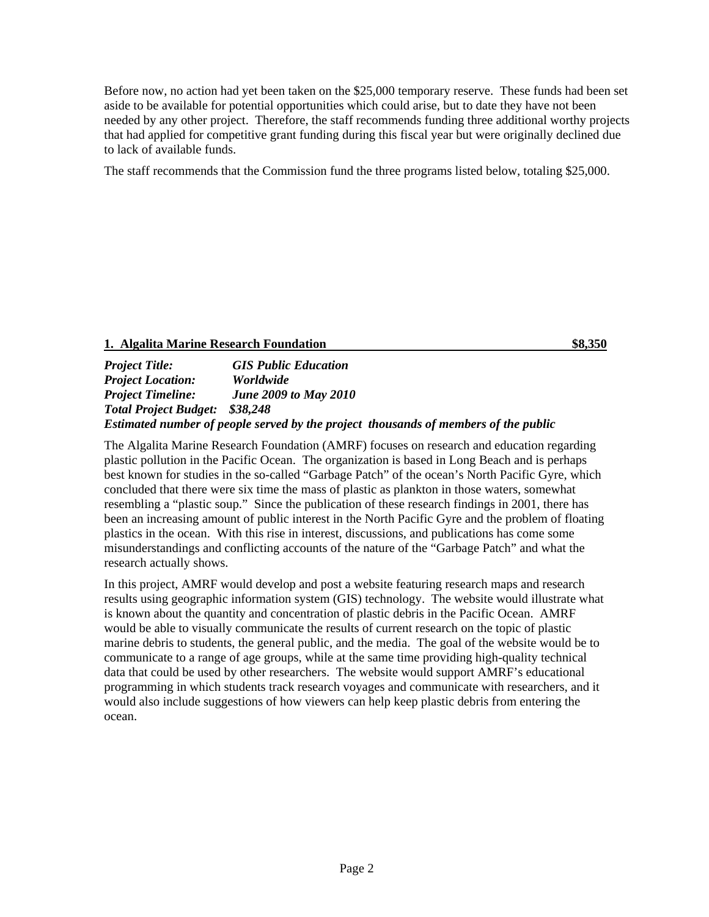Before now, no action had yet been taken on the \$25,000 temporary reserve. These funds had been set aside to be available for potential opportunities which could arise, but to date they have not been needed by any other project. Therefore, the staff recommends funding three additional worthy projects that had applied for competitive grant funding during this fiscal year but were originally declined due to lack of available funds.

The staff recommends that the Commission fund the three programs listed below, totaling \$25,000.

# **1. Algalita Marine Research Foundation \$8,350**

*Project Title: GIS Public Education Project Location: Worldwide Project Timeline: June 2009 to May 2010 Total Project Budget: \$38,248 Estimated number of people served by the project thousands of members of the public* 

The Algalita Marine Research Foundation (AMRF) focuses on research and education regarding plastic pollution in the Pacific Ocean. The organization is based in Long Beach and is perhaps best known for studies in the so-called "Garbage Patch" of the ocean's North Pacific Gyre, which concluded that there were six time the mass of plastic as plankton in those waters, somewhat resembling a "plastic soup." Since the publication of these research findings in 2001, there has been an increasing amount of public interest in the North Pacific Gyre and the problem of floating plastics in the ocean. With this rise in interest, discussions, and publications has come some misunderstandings and conflicting accounts of the nature of the "Garbage Patch" and what the research actually shows.

In this project, AMRF would develop and post a website featuring research maps and research results using geographic information system (GIS) technology. The website would illustrate what is known about the quantity and concentration of plastic debris in the Pacific Ocean. AMRF would be able to visually communicate the results of current research on the topic of plastic marine debris to students, the general public, and the media. The goal of the website would be to communicate to a range of age groups, while at the same time providing high-quality technical data that could be used by other researchers. The website would support AMRF's educational programming in which students track research voyages and communicate with researchers, and it would also include suggestions of how viewers can help keep plastic debris from entering the ocean.